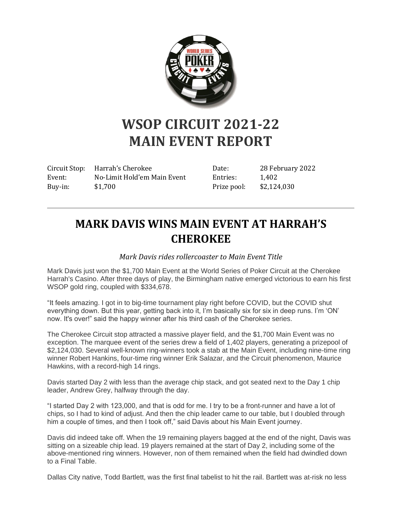

## **WSOP CIRCUIT 2021-22 MAIN EVENT REPORT**

Circuit Stop: Harrah's Cherokee Event: No-Limit Hold'em Main Event Buy-in: \$1,700

Date: 28 February 2022 Entries: 1,402 Prize pool: \$2,124,030

## **MARK DAVIS WINS MAIN EVENT AT HARRAH'S CHEROKEE**

*Mark Davis rides rollercoaster to Main Event Title*

Mark Davis just won the \$1,700 Main Event at the World Series of Poker Circuit at the Cherokee Harrah's Casino. After three days of play, the Birmingham native emerged victorious to earn his first WSOP gold ring, coupled with \$334,678.

"It feels amazing. I got in to big-time tournament play right before COVID, but the COVID shut everything down. But this year, getting back into it, I'm basically six for six in deep runs. I'm 'ON' now. It's over!" said the happy winner after his third cash of the Cherokee series.

The Cherokee Circuit stop attracted a massive player field, and the \$1,700 Main Event was no exception. The marquee event of the series drew a field of 1,402 players, generating a prizepool of \$2,124,030. Several well-known ring-winners took a stab at the Main Event, including nine-time ring winner Robert Hankins, four-time ring winner Erik Salazar, and the Circuit phenomenon, Maurice Hawkins, with a record-high 14 rings.

Davis started Day 2 with less than the average chip stack, and got seated next to the Day 1 chip leader, Andrew Grey, halfway through the day.

"I started Day 2 with 123,000, and that is odd for me. I try to be a front-runner and have a lot of chips, so I had to kind of adjust. And then the chip leader came to our table, but I doubled through him a couple of times, and then I took off," said Davis about his Main Event journey.

Davis did indeed take off. When the 19 remaining players bagged at the end of the night, Davis was sitting on a sizeable chip lead. 19 players remained at the start of Day 2, including some of the above-mentioned ring winners. However, non of them remained when the field had dwindled down to a Final Table.

Dallas City native, Todd Bartlett, was the first final tabelist to hit the rail. Bartlett was at-risk no less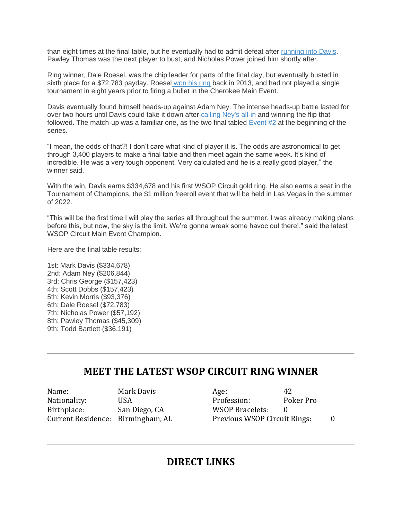than eight times at the final table, but he eventually had to admit defeat after [running into Davis.](https://www.wsop.com/tournaments/update/2ZRT/todd-bartlett-eliminated-in-9th-place-36191/) Pawley Thomas was the next player to bust, and Nicholas Power joined him shortly after.

Ring winner, Dale Roesel, was the chip leader for parts of the final day, but eventually busted in sixth place for a \$72,783 payday. Roesel [won his ring](https://www.wsop.com/tournaments/results/?tid=13136&grid=989) back in 2013, and had not played a single tournament in eight years prior to firing a bullet in the Cherokee Main Event.

Davis eventually found himself heads-up against Adam Ney. The intense heads-up battle lasted for over two hours until Davis could take it down after [calling Ney's all-in](https://www.wsop.com/tournaments/update/2ZSJ/adam-ney-eliminated-in-2nd-place-206844/) and winning the flip that followed. The match-up was a familiar one, as the two final tabled [Event #2](https://www.wsop.com/tournaments/updates/?aid=1&grid=4925&tid=20182&rr=5) at the beginning of the series.

"I mean, the odds of that?! I don't care what kind of player it is. The odds are astronomical to get through 3,400 players to make a final table and then meet again the same week. It's kind of incredible. He was a very tough opponent. Very calculated and he is a really good player," the winner said.

With the win, Davis earns \$334,678 and his first WSOP Circuit gold ring. He also earns a seat in the Tournament of Champions, the \$1 million freeroll event that will be held in Las Vegas in the summer of 2022.

"This will be the first time I will play the series all throughout the summer. I was already making plans before this, but now, the sky is the limit. We're gonna wreak some havoc out there!," said the latest WSOP Circuit Main Event Champion.

Here are the final table results:

1st: Mark Davis (\$334,678) 2nd: Adam Ney (\$206,844) 3rd: Chris George (\$157,423) 4th: Scott Dobbs (\$157,423) 5th: Kevin Morris (\$93,376) 6th: Dale Roesel (\$72,783) 7th: Nicholas Power (\$57,192) 8th: Pawley Thomas (\$45,309) 9th: Todd Bartlett (\$36,191)

## **MEET THE LATEST WSOP CIRCUIT RING WINNER**

| Name:                             | Mark Davis    | Age:                         | 42        |  |
|-----------------------------------|---------------|------------------------------|-----------|--|
| Nationality:                      | USA           | Profession:                  | Poker Pro |  |
| Birthplace:                       | San Diego, CA | <b>WSOP Bracelets:</b>       |           |  |
| Current Residence: Birmingham, AL |               | Previous WSOP Circuit Rings: |           |  |

## **DIRECT LINKS**